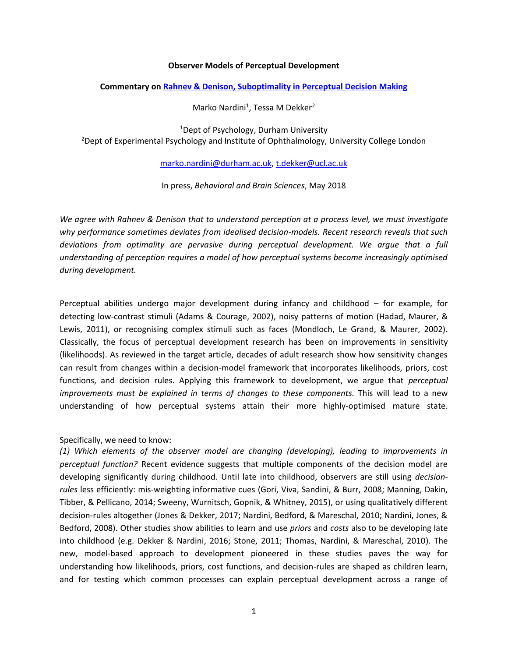## **Observer Models of Perceptual Development**

## **Commentary on [Rahnev & Denison, Suboptimality in Perceptual Decision Making](https://www.cambridge.org/core/services/aop-cambridge-core/content/view/F0F0F136CA71A23F2DF3BC3E2ED4297B/S0140525X18000936a.pdf/suboptimality_in_perceptual_decision_making.pdf)**

Marko Nardini<sup>1</sup>, Tessa M Dekker<sup>2</sup>

<sup>1</sup>Dept of Psychology, Durham University <sup>2</sup>Dept of Experimental Psychology and Institute of Ophthalmology, University College London

[marko.nardini@durham.ac.uk,](mailto:marko.nardini@durham.ac.uk) [t.dekker@ucl.ac.uk](mailto:t.dekker@ucl.ac.uk)

In press, *Behavioral and Brain Sciences*, May 2018

*We agree with Rahnev & Denison that to understand perception at a process level, we must investigate why performance sometimes deviates from idealised decision-models. Recent research reveals that such deviations from optimality are pervasive during perceptual development. We argue that a full understanding of perception requires a model of how perceptual systems become increasingly optimised during development.*

Perceptual abilities undergo major development during infancy and childhood – for example, for detecting low-contrast stimuli (Adams & Courage, 2002), noisy patterns of motion (Hadad, Maurer, & Lewis, 2011), or recognising complex stimuli such as faces (Mondloch, Le Grand, & Maurer, 2002). Classically, the focus of perceptual development research has been on improvements in sensitivity (likelihoods). As reviewed in the target article, decades of adult research show how sensitivity changes can result from changes within a decision-model framework that incorporates likelihoods, priors, cost functions, and decision rules. Applying this framework to development, we argue that *perceptual improvements must be explained in terms of changes to these components.* This will lead to a new understanding of how perceptual systems attain their more highly-optimised mature state.

## Specifically, we need to know:

*(1) Which elements of the observer model are changing (developing), leading to improvements in perceptual function?* Recent evidence suggests that multiple components of the decision model are developing significantly during childhood. Until late into childhood, observers are still using *decisionrules* less efficiently: mis-weighting informative cues (Gori, Viva, Sandini, & Burr, 2008; Manning, Dakin, Tibber, & Pellicano, 2014; Sweeny, Wurnitsch, Gopnik, & Whitney, 2015), or using qualitatively different decision-rules altogether (Jones & Dekker, 2017; Nardini, Bedford, & Mareschal, 2010; Nardini, Jones, & Bedford, 2008). Other studies show abilities to learn and use *priors* and *costs* also to be developing late into childhood (e.g. Dekker & Nardini, 2016; Stone, 2011; Thomas, Nardini, & Mareschal, 2010). The new, model-based approach to development pioneered in these studies paves the way for understanding how likelihoods, priors, cost functions, and decision-rules are shaped as children learn, and for testing which common processes can explain perceptual development across a range of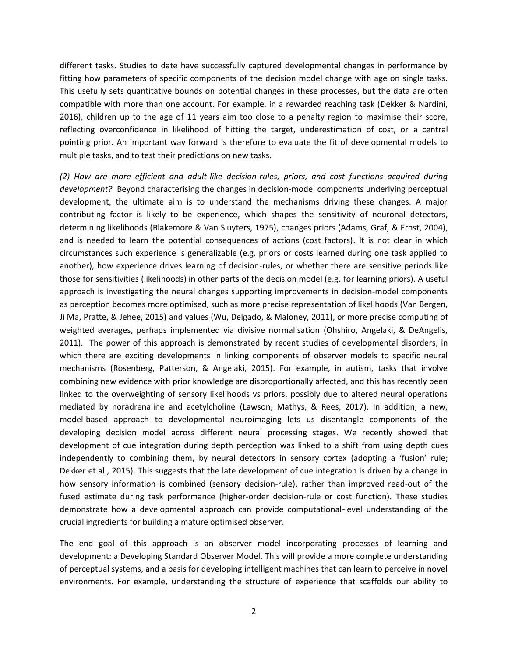different tasks. Studies to date have successfully captured developmental changes in performance by fitting how parameters of specific components of the decision model change with age on single tasks. This usefully sets quantitative bounds on potential changes in these processes, but the data are often compatible with more than one account. For example, in a rewarded reaching task (Dekker & Nardini, 2016), children up to the age of 11 years aim too close to a penalty region to maximise their score, reflecting overconfidence in likelihood of hitting the target, underestimation of cost, or a central pointing prior. An important way forward is therefore to evaluate the fit of developmental models to multiple tasks, and to test their predictions on new tasks.

*(2) How are more efficient and adult-like decision-rules, priors, and cost functions acquired during development?* Beyond characterising the changes in decision-model components underlying perceptual development, the ultimate aim is to understand the mechanisms driving these changes. A major contributing factor is likely to be experience, which shapes the sensitivity of neuronal detectors, determining likelihoods (Blakemore & Van Sluyters, 1975), changes priors (Adams, Graf, & Ernst, 2004), and is needed to learn the potential consequences of actions (cost factors). It is not clear in which circumstances such experience is generalizable (e.g. priors or costs learned during one task applied to another), how experience drives learning of decision-rules, or whether there are sensitive periods like those for sensitivities (likelihoods) in other parts of the decision model (e.g. for learning priors). A useful approach is investigating the neural changes supporting improvements in decision-model components as perception becomes more optimised, such as more precise representation of likelihoods (Van Bergen, Ji Ma, Pratte, & Jehee, 2015) and values (Wu, Delgado, & Maloney, 2011), or more precise computing of weighted averages, perhaps implemented via divisive normalisation (Ohshiro, Angelaki, & DeAngelis, 2011). The power of this approach is demonstrated by recent studies of developmental disorders, in which there are exciting developments in linking components of observer models to specific neural mechanisms (Rosenberg, Patterson, & Angelaki, 2015). For example, in autism, tasks that involve combining new evidence with prior knowledge are disproportionally affected, and this has recently been linked to the overweighting of sensory likelihoods vs priors, possibly due to altered neural operations mediated by noradrenaline and acetylcholine (Lawson, Mathys, & Rees, 2017). In addition, a new, model-based approach to developmental neuroimaging lets us disentangle components of the developing decision model across different neural processing stages. We recently showed that development of cue integration during depth perception was linked to a shift from using depth cues independently to combining them, by neural detectors in sensory cortex (adopting a 'fusion' rule; Dekker et al., 2015). This suggests that the late development of cue integration is driven by a change in how sensory information is combined (sensory decision-rule), rather than improved read-out of the fused estimate during task performance (higher-order decision-rule or cost function). These studies demonstrate how a developmental approach can provide computational-level understanding of the crucial ingredients for building a mature optimised observer.

The end goal of this approach is an observer model incorporating processes of learning and development: a Developing Standard Observer Model. This will provide a more complete understanding of perceptual systems, and a basis for developing intelligent machines that can learn to perceive in novel environments. For example, understanding the structure of experience that scaffolds our ability to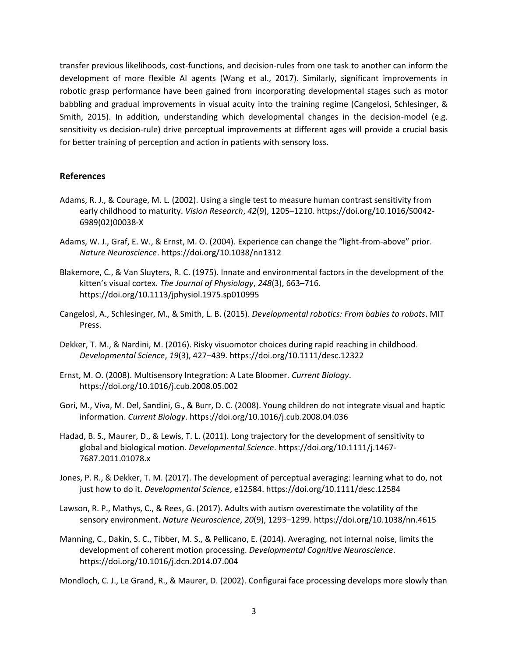transfer previous likelihoods, cost-functions, and decision-rules from one task to another can inform the development of more flexible AI agents (Wang et al., 2017). Similarly, significant improvements in robotic grasp performance have been gained from incorporating developmental stages such as motor babbling and gradual improvements in visual acuity into the training regime (Cangelosi, Schlesinger, & Smith, 2015). In addition, understanding which developmental changes in the decision-model (e.g. sensitivity vs decision-rule) drive perceptual improvements at different ages will provide a crucial basis for better training of perception and action in patients with sensory loss.

## **References**

- Adams, R. J., & Courage, M. L. (2002). Using a single test to measure human contrast sensitivity from early childhood to maturity. *Vision Research*, *42*(9), 1205–1210. https://doi.org/10.1016/S0042- 6989(02)00038-X
- Adams, W. J., Graf, E. W., & Ernst, M. O. (2004). Experience can change the "light-from-above" prior. *Nature Neuroscience*. https://doi.org/10.1038/nn1312
- Blakemore, C., & Van Sluyters, R. C. (1975). Innate and environmental factors in the development of the kitten's visual cortex. *The Journal of Physiology*, *248*(3), 663–716. https://doi.org/10.1113/jphysiol.1975.sp010995
- Cangelosi, A., Schlesinger, M., & Smith, L. B. (2015). *Developmental robotics: From babies to robots*. MIT Press.
- Dekker, T. M., & Nardini, M. (2016). Risky visuomotor choices during rapid reaching in childhood. *Developmental Science*, *19*(3), 427–439. https://doi.org/10.1111/desc.12322
- Ernst, M. O. (2008). Multisensory Integration: A Late Bloomer. *Current Biology*. https://doi.org/10.1016/j.cub.2008.05.002
- Gori, M., Viva, M. Del, Sandini, G., & Burr, D. C. (2008). Young children do not integrate visual and haptic information. *Current Biology*. https://doi.org/10.1016/j.cub.2008.04.036
- Hadad, B. S., Maurer, D., & Lewis, T. L. (2011). Long trajectory for the development of sensitivity to global and biological motion. *Developmental Science*. https://doi.org/10.1111/j.1467- 7687.2011.01078.x
- Jones, P. R., & Dekker, T. M. (2017). The development of perceptual averaging: learning what to do, not just how to do it. *Developmental Science*, e12584. https://doi.org/10.1111/desc.12584
- Lawson, R. P., Mathys, C., & Rees, G. (2017). Adults with autism overestimate the volatility of the sensory environment. *Nature Neuroscience*, *20*(9), 1293–1299. https://doi.org/10.1038/nn.4615
- Manning, C., Dakin, S. C., Tibber, M. S., & Pellicano, E. (2014). Averaging, not internal noise, limits the development of coherent motion processing. *Developmental Cognitive Neuroscience*. https://doi.org/10.1016/j.dcn.2014.07.004

Mondloch, C. J., Le Grand, R., & Maurer, D. (2002). Configurai face processing develops more slowly than